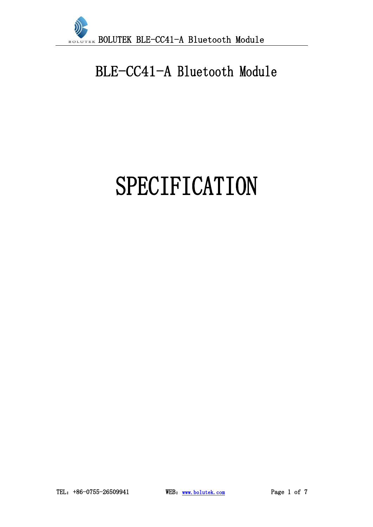

## BLE-CC41-A Bluetooth Module

# SPECIFICATION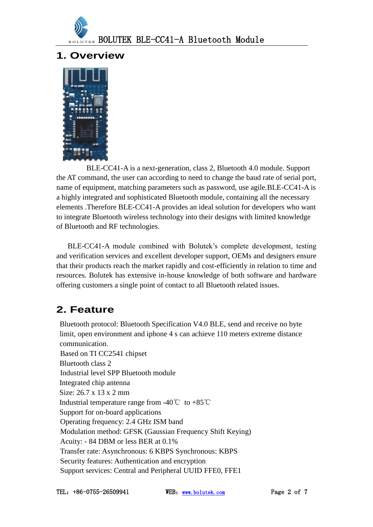

#### **1. Overview**



BLE-CC41-A is a next-generation, class 2, Bluetooth 4.0 module. Support the AT command, the user can according to need to change the baud rate of serial port, name of equipment, matching parameters such as password, use agile.BLE-CC41-A is a highly integrated and sophisticated Bluetooth module, containing all the necessary elements .Therefore BLE-CC41-A provides an ideal solution for developers who want to integrate Bluetooth wireless technology into their designs with limited knowledge of Bluetooth and RF technologies.

BLE-CC41-A module combined with Bolutek's complete development, testing and verification services and excellent developer support, OEMs and designers ensure that their products reach the market rapidly and cost-efficiently in relation to time and resources. Bolutek has extensive in-house knowledge of both software and hardware offering customers a single point of contact to all Bluetooth related issues.

#### **2. Feature**

Bluetooth protocol: Bluetooth Specification V4.0 BLE, send and receive no byte limit, open environment and iphone 4 s can achieve 110 meters extreme distance communication. Based on TI CC2541 chipset Bluetooth class 2 Industrial level SPP Bluetooth module Integrated chip antenna Size: 26.7 x 13 x 2 mm Industrial temperature range from  $-40^{\circ}\text{C}$  to  $+85^{\circ}\text{C}$ Support for on-board applications Operating frequency: 2.4 GHz ISM band Modulation method: GFSK (Gaussian Frequency Shift Keying) Acuity: - 84 DBM or less BER at 0.1% Transfer rate: Asynchronous: 6 KBPS Synchronous: KBPS Security features: Authentication and encryption Support services: Central and Peripheral UUID FFE0, FFE1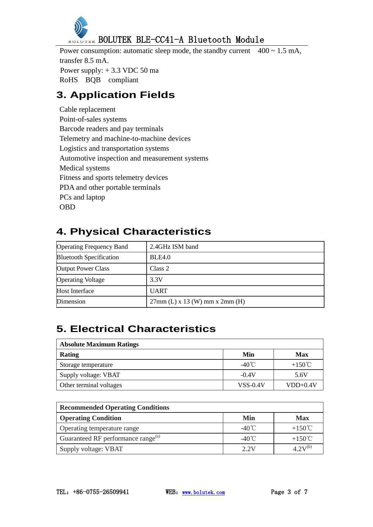

Power consumption: automatic sleep mode, the standby current  $400 \sim 1.5$  mA, transfer 8.5 mA. Power supply: + 3.3 VDC 50 ma RoHS BQB compliant

## **3. Application Fields**

Cable replacement Point-of-sales systems Barcode readers and pay terminals Telemetry and machine-to-machine devices Logistics and transportation systems Automotive inspection and measurement systems Medical systems Fitness and sports telemetry devices PDA and other portable terminals PCs and laptop OBD

## **4. Physical Characteristics**

| <b>Operating Frequency Band</b> | 2.4GHz ISM band                    |
|---------------------------------|------------------------------------|
| <b>Bluetooth Specification</b>  | BLE4.0                             |
| <b>Output Power Class</b>       | Class 2                            |
| <b>Operating Voltage</b>        | 3.3V                               |
| Host Interface                  | <b>UART</b>                        |
| Dimension                       | $27mm$ (L) x 13 (W) mm x $2mm$ (H) |

## **5. Electrical Characteristics**

| <b>Absolute Maximum Ratings</b> |                 |                  |  |
|---------------------------------|-----------------|------------------|--|
| Rating                          | Min             | Max              |  |
| Storage temperature             | $-40^{\circ}$ C | $+150^{\circ}$ C |  |
| Supply voltage: VBAT            | $-0.4V$         | 5.6V             |  |
| Other terminal voltages         | <b>VSS-0.4V</b> | $VDD+0.4V$       |  |

| <b>Recommended Operating Conditions</b>        |                 |                  |  |
|------------------------------------------------|-----------------|------------------|--|
| <b>Operating Condition</b>                     | Min             | Max              |  |
| Operating temperature range                    | $-40^{\circ}$ C | $+150^{\circ}$ C |  |
| Guaranteed RF performance range <sup>(a)</sup> | $-40^{\circ}$ C | $+150^{\circ}$ C |  |
| Supply voltage: VBAT                           | 2.2V            | $4.2V^{(b)}$     |  |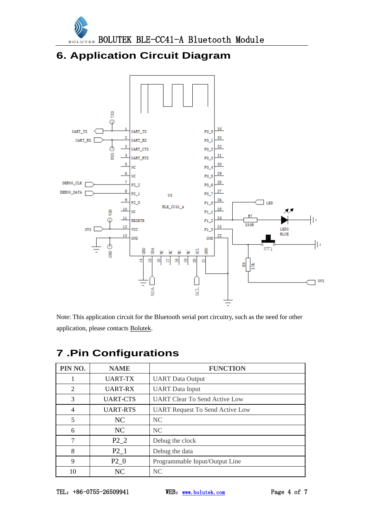

#### **6. Application Circuit Diagram**



Note: This application circuit for the Bluetooth serial port circuitry, such as the need for other application, please contacts [Bolutek.](http://www.bolutek.com/)

| PIN NO.        | <b>NAME</b>      | <b>FUNCTION</b>                        |
|----------------|------------------|----------------------------------------|
|                | UART-TX          | <b>UART</b> Data Output                |
| 2              | UART-RX          | <b>UART</b> Data Input                 |
| 3              | <b>UART-CTS</b>  | <b>UART Clear To Send Active Low</b>   |
| $\overline{4}$ | <b>UART-RTS</b>  | <b>UART Request To Send Active Low</b> |
| 5              | NC               | <b>NC</b>                              |
| 6              | NC               | NC <sub>1</sub>                        |
| 7              | P <sub>2</sub> 2 | Debug the clock                        |
| 8              | $P2_1$           | Debug the data                         |
| 9              | $P2_0$           | Programmable Input/Output Line         |
| 10             | NC               | N <sub>C</sub>                         |

## **.Pin Configurations**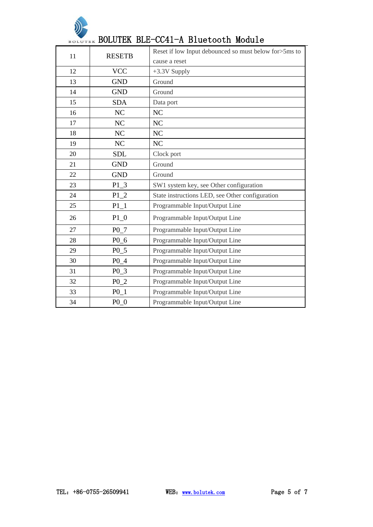

## BOLUTEK BLE-CC41-A Bluetooth Module

| 11 | <b>RESETB</b>    | Reset if low Input debounced so must below for >5ms to |
|----|------------------|--------------------------------------------------------|
|    |                  | cause a reset                                          |
| 12 | <b>VCC</b>       | $+3.3V$ Supply                                         |
| 13 | <b>GND</b>       | Ground                                                 |
| 14 | <b>GND</b>       | Ground                                                 |
| 15 | <b>SDA</b>       | Data port                                              |
| 16 | NC               | NC                                                     |
| 17 | NC               | NC                                                     |
| 18 | N <sub>C</sub>   | NC                                                     |
| 19 | NC               | NC                                                     |
| 20 | <b>SDL</b>       | Clock port                                             |
| 21 | <b>GND</b>       | Ground                                                 |
| 22 | <b>GND</b>       | Ground                                                 |
| 23 | $P1_3$           | SW1 system key, see Other configuration                |
| 24 | $P1_2$           | State instructions LED, see Other configuration        |
| 25 | $P1_1$           | Programmable Input/Output Line                         |
| 26 | $P1_0$           | Programmable Input/Output Line                         |
| 27 | P <sub>0</sub> 7 | Programmable Input/Output Line                         |
| 28 | P0 6             | Programmable Input/Output Line                         |
| 29 | P <sub>0</sub> 5 | Programmable Input/Output Line                         |
| 30 | P <sub>0</sub> 4 | Programmable Input/Output Line                         |
| 31 | P <sub>0</sub> 3 | Programmable Input/Output Line                         |
| 32 | P <sub>0</sub> 2 | Programmable Input/Output Line                         |
| 33 | P0 1             | Programmable Input/Output Line                         |
| 34 | $P0_0$           | Programmable Input/Output Line                         |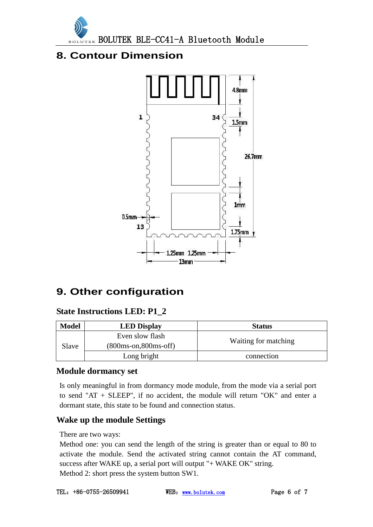

#### **8. Contour Dimension**



#### **9. Other configuration**

#### **State Instructions LED: P1\_2**

| <b>Model</b> | <b>LED Display</b>                         | <b>Status</b>        |
|--------------|--------------------------------------------|----------------------|
| Slave        | Even slow flash<br>$(800ms-on, 800ms-off)$ | Waiting for matching |
|              | Long bright                                | connection           |

#### **Module dormancy set**

Is only meaningful in from dormancy mode module, from the mode via a serial port to send "AT + SLEEP", if no accident, the module will return "OK" and enter a dormant state, this state to be found and connection status.

#### **Wake up the module Settings**

There are two ways:

Method one: you can send the length of the string is greater than or equal to 80 to activate the module. Send the activated string cannot contain the AT command, success after WAKE up, a serial port will output "+ WAKE OK" string. Method 2: short press the system button SW1.